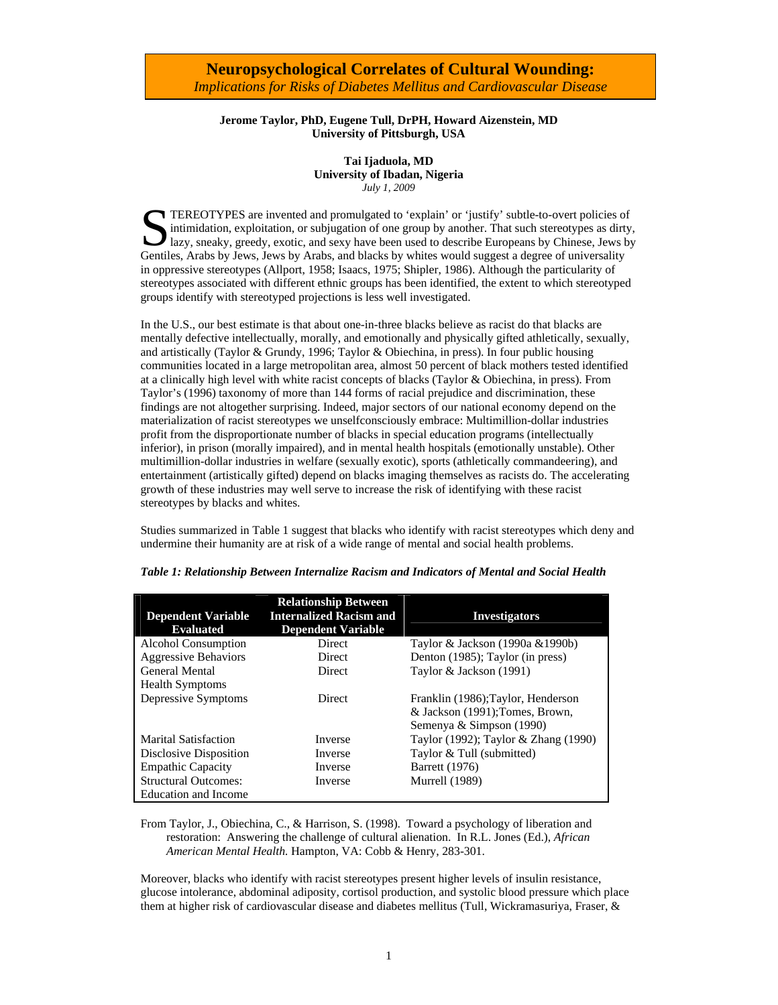#### **Jerome Taylor, PhD, Eugene Tull, DrPH, Howard Aizenstein, MD University of Pittsburgh, USA**

**Tai Ijaduola, MD University of Ibadan, Nigeria**  *July 1, 2009* 

TEREOTYPES are invented and promulgated to 'explain' or 'justify' subtle-to-overt policies of intimidation, exploitation, or subjugation of one group by another. That such stereotypes as dirty lazy, sneaky, greedy, exotic, intimidation, exploitation, or subjugation of one group by another. That such stereotypes as dirty, lazy, sneaky, greedy, exotic, and sexy have been used to describe Europeans by Chinese, Jews by Gentiles, Arabs by Jews, Jews by Arabs, and blacks by whites would suggest a degree of universality in oppressive stereotypes (Allport, 1958; Isaacs, 1975; Shipler, 1986). Although the particularity of stereotypes associated with different ethnic groups has been identified, the extent to which stereotyped groups identify with stereotyped projections is less well investigated.

In the U.S., our best estimate is that about one-in-three blacks believe as racist do that blacks are mentally defective intellectually, morally, and emotionally and physically gifted athletically, sexually, and artistically (Taylor & Grundy, 1996; Taylor & Obiechina, in press). In four public housing communities located in a large metropolitan area, almost 50 percent of black mothers tested identified at a clinically high level with white racist concepts of blacks (Taylor & Obiechina, in press). From Taylor's (1996) taxonomy of more than 144 forms of racial prejudice and discrimination, these findings are not altogether surprising. Indeed, major sectors of our national economy depend on the materialization of racist stereotypes we unselfconsciously embrace: Multimillion-dollar industries profit from the disproportionate number of blacks in special education programs (intellectually inferior), in prison (morally impaired), and in mental health hospitals (emotionally unstable). Other multimillion-dollar industries in welfare (sexually exotic), sports (athletically commandeering), and entertainment (artistically gifted) depend on blacks imaging themselves as racists do. The accelerating growth of these industries may well serve to increase the risk of identifying with these racist stereotypes by blacks and whites.

Studies summarized in Table 1 suggest that blacks who identify with racist stereotypes which deny and undermine their humanity are at risk of a wide range of mental and social health problems.

| <b>Dependent Variable</b>   | <b>Relationship Between</b><br><b>Internalized Racism and</b> | <b>Investigators</b>                 |
|-----------------------------|---------------------------------------------------------------|--------------------------------------|
| <b>Evaluated</b>            | <b>Dependent Variable</b>                                     |                                      |
| Alcohol Consumption         | Direct                                                        | Taylor & Jackson (1990a & 1990b)     |
| <b>Aggressive Behaviors</b> | Direct                                                        | Denton (1985); Taylor (in press)     |
| <b>General Mental</b>       | <b>Direct</b>                                                 | Taylor & Jackson (1991)              |
| <b>Health Symptoms</b>      |                                                               |                                      |
| Depressive Symptoms         | Direct                                                        | Franklin (1986); Taylor, Henderson   |
|                             |                                                               | & Jackson (1991); Tomes, Brown,      |
|                             |                                                               | Semenya & Simpson (1990)             |
| <b>Marital Satisfaction</b> | Inverse                                                       | Taylor (1992); Taylor & Zhang (1990) |
| Disclosive Disposition      | Inverse                                                       | Taylor & Tull (submitted)            |
| <b>Empathic Capacity</b>    | Inverse                                                       | <b>Barrett</b> (1976)                |
| <b>Structural Outcomes:</b> | Inverse                                                       | <b>Murrell</b> (1989)                |
| Education and Income        |                                                               |                                      |

*Table 1: Relationship Between Internalize Racism and Indicators of Mental and Social Health* 

From Taylor, J., Obiechina, C., & Harrison, S. (1998). Toward a psychology of liberation and restoration: Answering the challenge of cultural alienation. In R.L. Jones (Ed.), *African American Mental Health.* Hampton, VA: Cobb & Henry, 283-301.

Moreover, blacks who identify with racist stereotypes present higher levels of insulin resistance, glucose intolerance, abdominal adiposity, cortisol production, and systolic blood pressure which place them at higher risk of cardiovascular disease and diabetes mellitus (Tull, Wickramasuriya, Fraser, &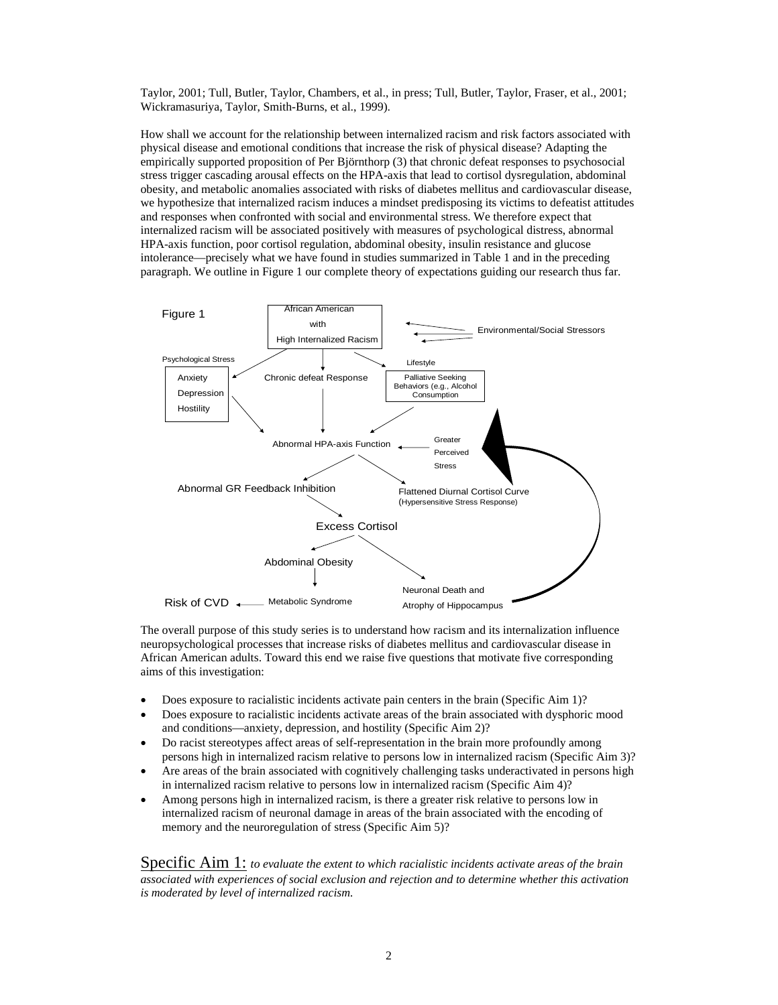Taylor, 2001; Tull, Butler, Taylor, Chambers, et al., in press; Tull, Butler, Taylor, Fraser, et al., 2001; Wickramasuriya, Taylor, Smith-Burns, et al., 1999).

How shall we account for the relationship between internalized racism and risk factors associated with physical disease and emotional conditions that increase the risk of physical disease? Adapting the empirically supported proposition of Per Björnthorp (3) that chronic defeat responses to psychosocial stress trigger cascading arousal effects on the HPA-axis that lead to cortisol dysregulation, abdominal obesity, and metabolic anomalies associated with risks of diabetes mellitus and cardiovascular disease, we hypothesize that internalized racism induces a mindset predisposing its victims to defeatist attitudes and responses when confronted with social and environmental stress. We therefore expect that internalized racism will be associated positively with measures of psychological distress, abnormal HPA-axis function, poor cortisol regulation, abdominal obesity, insulin resistance and glucose intolerance—precisely what we have found in studies summarized in Table 1 and in the preceding paragraph. We outline in Figure 1 our complete theory of expectations guiding our research thus far.



The overall purpose of this study series is to understand how racism and its internalization influence neuropsychological processes that increase risks of diabetes mellitus and cardiovascular disease in African American adults. Toward this end we raise five questions that motivate five corresponding aims of this investigation:

- Does exposure to racialistic incidents activate pain centers in the brain (Specific Aim 1)?
- Does exposure to racialistic incidents activate areas of the brain associated with dysphoric mood and conditions—anxiety, depression, and hostility (Specific Aim 2)?
- Do racist stereotypes affect areas of self-representation in the brain more profoundly among persons high in internalized racism relative to persons low in internalized racism (Specific Aim 3)?
- Are areas of the brain associated with cognitively challenging tasks underactivated in persons high in internalized racism relative to persons low in internalized racism (Specific Aim 4)?
- Among persons high in internalized racism, is there a greater risk relative to persons low in internalized racism of neuronal damage in areas of the brain associated with the encoding of memory and the neuroregulation of stress (Specific Aim 5)?

Specific Aim 1: *to evaluate the extent to which racialistic incidents activate areas of the brain associated with experiences of social exclusion and rejection and to determine whether this activation is moderated by level of internalized racism.*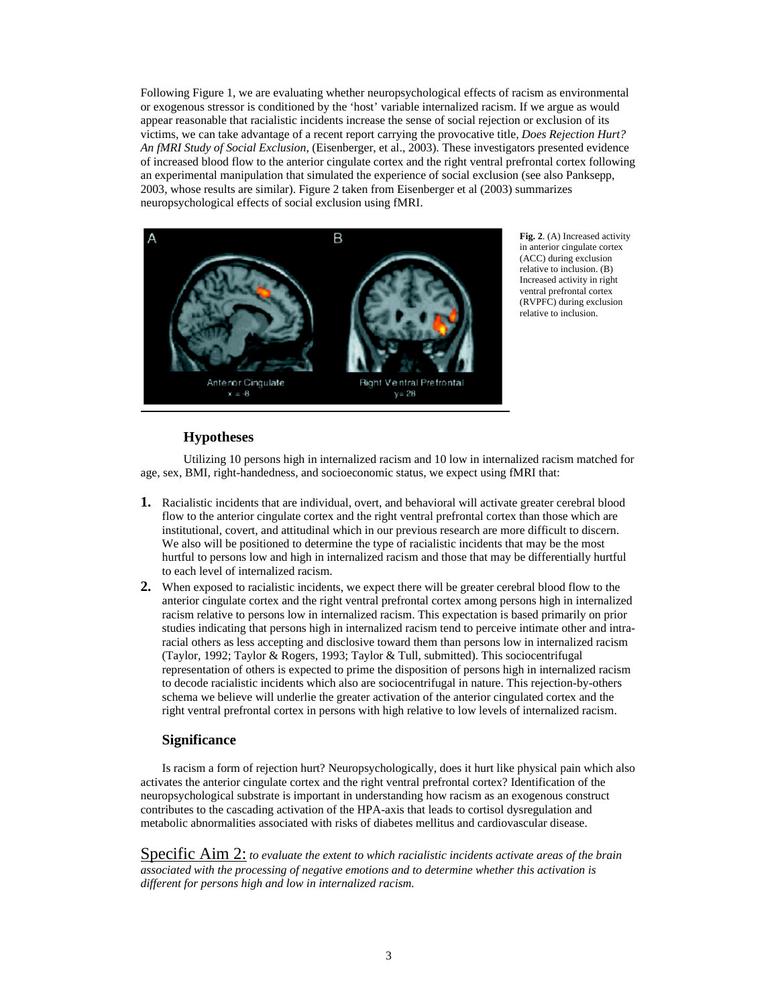Following Figure 1, we are evaluating whether neuropsychological effects of racism as environmental or exogenous stressor is conditioned by the 'host' variable internalized racism. If we argue as would appear reasonable that racialistic incidents increase the sense of social rejection or exclusion of its victims, we can take advantage of a recent report carrying the provocative title, *Does Rejection Hurt? An fMRI Study of Social Exclusion*, (Eisenberger, et al., 2003). These investigators presented evidence of increased blood flow to the anterior cingulate cortex and the right ventral prefrontal cortex following an experimental manipulation that simulated the experience of social exclusion (see also Panksepp, 2003, whose results are similar). Figure 2 taken from Eisenberger et al (2003) summarizes neuropsychological effects of social exclusion using fMRI.



**Fig. 2**. (A) Increased activity in anterior cingulate cortex (ACC) during exclusion relative to inclusion. (B) Increased activity in right ventral prefrontal cortex (RVPFC) during exclusion relative to inclusion.

# **Hypotheses**

Utilizing 10 persons high in internalized racism and 10 low in internalized racism matched for age, sex, BMI, right-handedness, and socioeconomic status, we expect using fMRI that:

- **1.** Racialistic incidents that are individual, overt, and behavioral will activate greater cerebral blood flow to the anterior cingulate cortex and the right ventral prefrontal cortex than those which are institutional, covert, and attitudinal which in our previous research are more difficult to discern. We also will be positioned to determine the type of racialistic incidents that may be the most hurtful to persons low and high in internalized racism and those that may be differentially hurtful to each level of internalized racism.
- **2.** When exposed to racialistic incidents, we expect there will be greater cerebral blood flow to the anterior cingulate cortex and the right ventral prefrontal cortex among persons high in internalized racism relative to persons low in internalized racism. This expectation is based primarily on prior studies indicating that persons high in internalized racism tend to perceive intimate other and intraracial others as less accepting and disclosive toward them than persons low in internalized racism (Taylor, 1992; Taylor & Rogers, 1993; Taylor & Tull, submitted). This sociocentrifugal representation of others is expected to prime the disposition of persons high in internalized racism to decode racialistic incidents which also are sociocentrifugal in nature. This rejection-by-others schema we believe will underlie the greater activation of the anterior cingulated cortex and the right ventral prefrontal cortex in persons with high relative to low levels of internalized racism.

## **Significance**

Is racism a form of rejection hurt? Neuropsychologically, does it hurt like physical pain which also activates the anterior cingulate cortex and the right ventral prefrontal cortex? Identification of the neuropsychological substrate is important in understanding how racism as an exogenous construct contributes to the cascading activation of the HPA-axis that leads to cortisol dysregulation and metabolic abnormalities associated with risks of diabetes mellitus and cardiovascular disease.

Specific Aim 2: *to evaluate the extent to which racialistic incidents activate areas of the brain associated with the processing of negative emotions and to determine whether this activation is different for persons high and low in internalized racism.*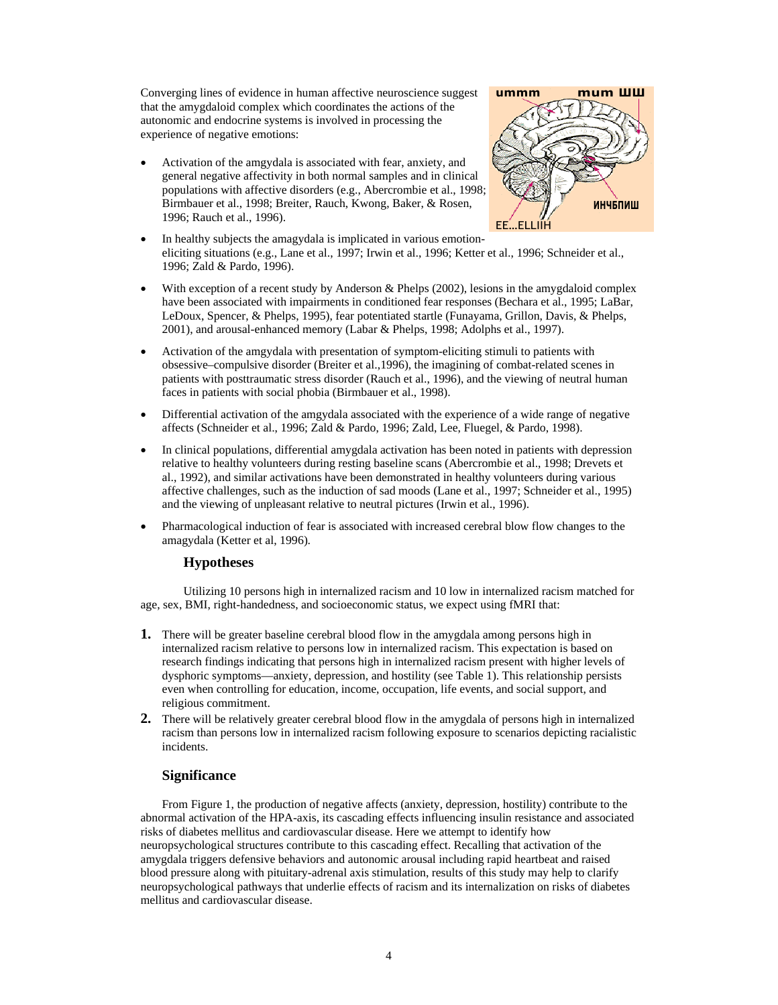Converging lines of evidence in human affective neuroscience suggest that the amygdaloid complex which coordinates the actions of the autonomic and endocrine systems is involved in processing the experience of negative emotions:

• Activation of the amgydala is associated with fear, anxiety, and general negative affectivity in both normal samples and in clinical populations with affective disorders (e.g., Abercrombie et al., 1998; Birmbauer et al., 1998; Breiter, Rauch, Kwong, Baker, & Rosen, 1996; Rauch et al., 1996).



- In healthy subjects the amagydala is implicated in various emotioneliciting situations (e.g., Lane et al., 1997; Irwin et al., 1996; Ketter et al., 1996; Schneider et al., 1996; Zald & Pardo, 1996).
- With exception of a recent study by Anderson & Phelps (2002), lesions in the amygdaloid complex have been associated with impairments in conditioned fear responses (Bechara et al., 1995; LaBar, LeDoux, Spencer, & Phelps, 1995), fear potentiated startle (Funayama, Grillon, Davis, & Phelps, 2001), and arousal-enhanced memory (Labar & Phelps, 1998; Adolphs et al., 1997).
- Activation of the amgydala with presentation of symptom-eliciting stimuli to patients with obsessive–compulsive disorder (Breiter et al.,1996), the imagining of combat-related scenes in patients with posttraumatic stress disorder (Rauch et al., 1996), and the viewing of neutral human faces in patients with social phobia (Birmbauer et al., 1998).
- Differential activation of the amgydala associated with the experience of a wide range of negative affects (Schneider et al., 1996; Zald & Pardo, 1996; Zald, Lee, Fluegel, & Pardo, 1998).
- In clinical populations, differential amygdala activation has been noted in patients with depression relative to healthy volunteers during resting baseline scans (Abercrombie et al., 1998; Drevets et al., 1992), and similar activations have been demonstrated in healthy volunteers during various affective challenges, such as the induction of sad moods (Lane et al., 1997; Schneider et al., 1995) and the viewing of unpleasant relative to neutral pictures (Irwin et al., 1996).
- Pharmacological induction of fear is associated with increased cerebral blow flow changes to the amagydala (Ketter et al, 1996).

#### **Hypotheses**

Utilizing 10 persons high in internalized racism and 10 low in internalized racism matched for age, sex, BMI, right-handedness, and socioeconomic status, we expect using fMRI that:

- **1.** There will be greater baseline cerebral blood flow in the amygdala among persons high in internalized racism relative to persons low in internalized racism. This expectation is based on research findings indicating that persons high in internalized racism present with higher levels of dysphoric symptoms—anxiety, depression, and hostility (see Table 1). This relationship persists even when controlling for education, income, occupation, life events, and social support, and religious commitment.
- **2.** There will be relatively greater cerebral blood flow in the amygdala of persons high in internalized racism than persons low in internalized racism following exposure to scenarios depicting racialistic incidents.

# **Significance**

From Figure 1, the production of negative affects (anxiety, depression, hostility) contribute to the abnormal activation of the HPA-axis, its cascading effects influencing insulin resistance and associated risks of diabetes mellitus and cardiovascular disease. Here we attempt to identify how neuropsychological structures contribute to this cascading effect. Recalling that activation of the amygdala triggers defensive behaviors and autonomic arousal including rapid heartbeat and raised blood pressure along with pituitary-adrenal axis stimulation, results of this study may help to clarify neuropsychological pathways that underlie effects of racism and its internalization on risks of diabetes mellitus and cardiovascular disease.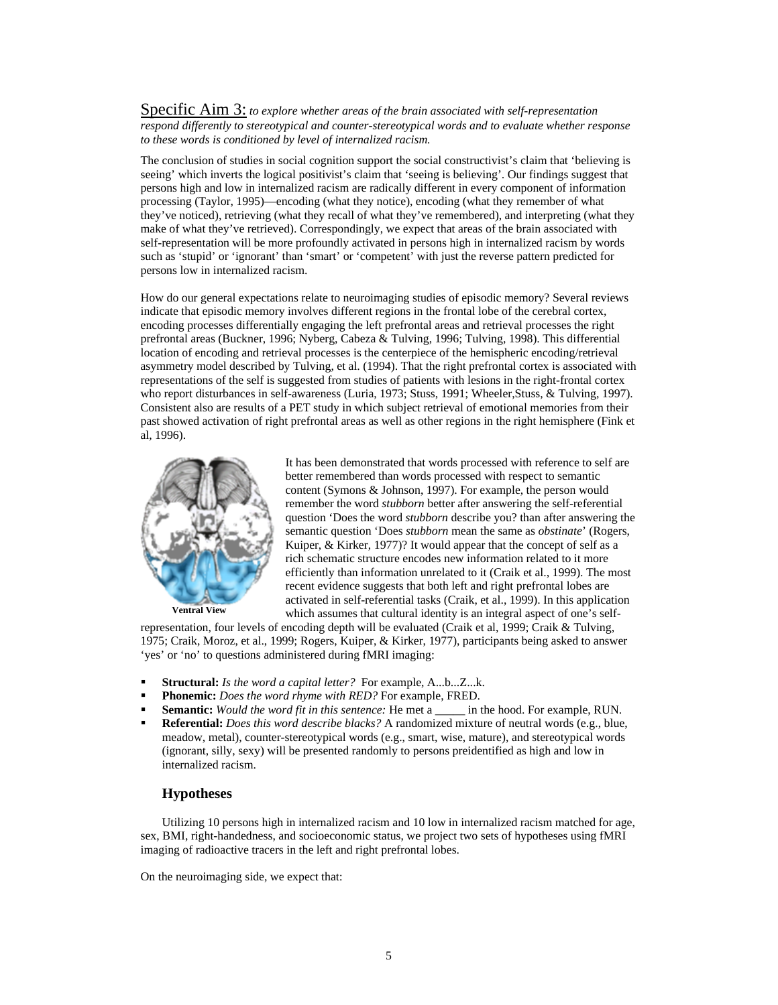Specific Aim 3: *to explore whether areas of the brain associated with self-representation respond differently to stereotypical and counter-stereotypical words and to evaluate whether response to these words is conditioned by level of internalized racism.*

The conclusion of studies in social cognition support the social constructivist's claim that 'believing is seeing' which inverts the logical positivist's claim that 'seeing is believing'. Our findings suggest that persons high and low in internalized racism are radically different in every component of information processing (Taylor, 1995)—encoding (what they notice), encoding (what they remember of what they've noticed), retrieving (what they recall of what they've remembered), and interpreting (what they make of what they've retrieved). Correspondingly, we expect that areas of the brain associated with self-representation will be more profoundly activated in persons high in internalized racism by words such as 'stupid' or 'ignorant' than 'smart' or 'competent' with just the reverse pattern predicted for persons low in internalized racism.

How do our general expectations relate to neuroimaging studies of episodic memory? Several reviews indicate that episodic memory involves different regions in the frontal lobe of the cerebral cortex, encoding processes differentially engaging the left prefrontal areas and retrieval processes the right prefrontal areas (Buckner, 1996; Nyberg, Cabeza & Tulving, 1996; Tulving, 1998). This differential location of encoding and retrieval processes is the centerpiece of the hemispheric encoding/retrieval asymmetry model described by Tulving, et al. (1994). That the right prefrontal cortex is associated with representations of the self is suggested from studies of patients with lesions in the right-frontal cortex who report disturbances in self-awareness (Luria, 1973; Stuss, 1991; Wheeler,Stuss, & Tulving, 1997). Consistent also are results of a PET study in which subject retrieval of emotional memories from their past showed activation of right prefrontal areas as well as other regions in the right hemisphere (Fink et al, 1996).



It has been demonstrated that words processed with reference to self are better remembered than words processed with respect to semantic content (Symons & Johnson, 1997). For example, the person would remember the word *stubborn* better after answering the self-referential question 'Does the word *stubborn* describe you? than after answering the semantic question 'Does *stubborn* mean the same as *obstinate*' (Rogers, Kuiper, & Kirker, 1977)? It would appear that the concept of self as a rich schematic structure encodes new information related to it more efficiently than information unrelated to it (Craik et al., 1999). The most recent evidence suggests that both left and right prefrontal lobes are activated in self-referential tasks (Craik, et al., 1999). In this application which assumes that cultural identity is an integral aspect of one's self-

representation, four levels of encoding depth will be evaluated (Craik et al, 1999; Craik & Tulving, 1975; Craik, Moroz, et al., 1999; Rogers, Kuiper, & Kirker, 1977), participants being asked to answer 'yes' or 'no' to questions administered during fMRI imaging:

- **Structural:** *Is the word a capital letter?* For example, A...b...Z...k.
- **Phonemic:** *Does the word rhyme with RED?* For example, FRED.
- **Semantic:** *Would the word fit in this sentence:* He met a \_\_\_\_\_ in the hood. For example, RUN.
- **Referential:** *Does this word describe blacks?* A randomized mixture of neutral words (e.g., blue, meadow, metal), counter-stereotypical words (e.g., smart, wise, mature), and stereotypical words (ignorant, silly, sexy) will be presented randomly to persons preidentified as high and low in internalized racism.

# **Hypotheses**

Utilizing 10 persons high in internalized racism and 10 low in internalized racism matched for age, sex, BMI, right-handedness, and socioeconomic status, we project two sets of hypotheses using fMRI imaging of radioactive tracers in the left and right prefrontal lobes.

On the neuroimaging side, we expect that: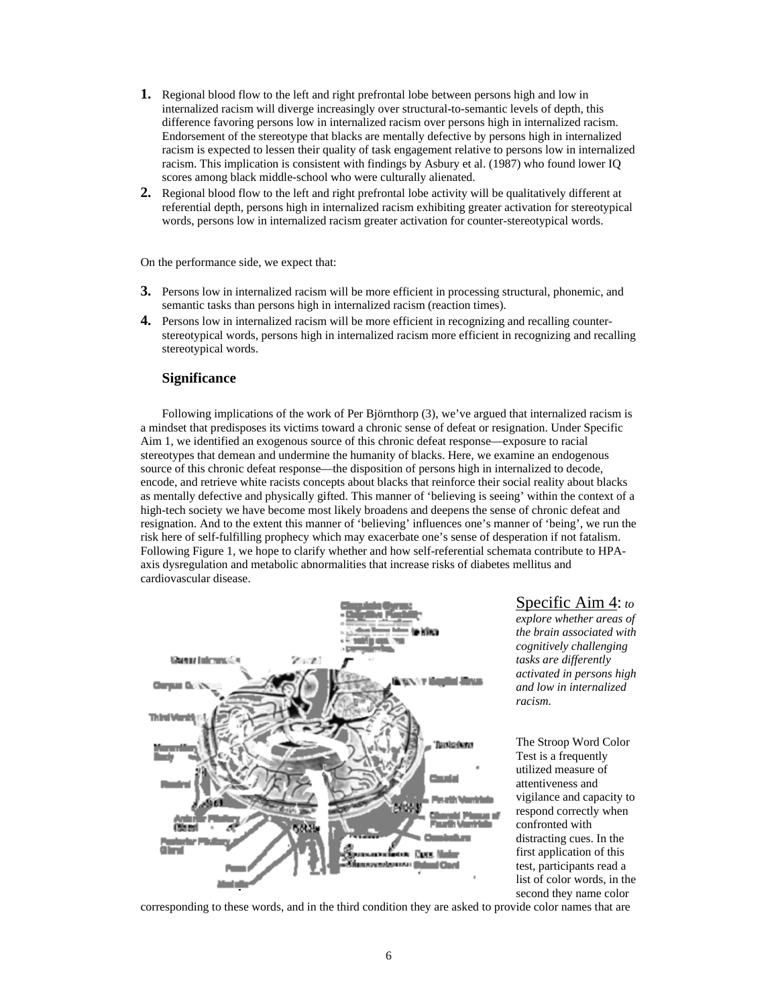- **1.** Regional blood flow to the left and right prefrontal lobe between persons high and low in internalized racism will diverge increasingly over structural-to-semantic levels of depth, this difference favoring persons low in internalized racism over persons high in internalized racism. Endorsement of the stereotype that blacks are mentally defective by persons high in internalized racism is expected to lessen their quality of task engagement relative to persons low in internalized racism. This implication is consistent with findings by Asbury et al. (1987) who found lower IQ scores among black middle-school who were culturally alienated.
- **2.** Regional blood flow to the left and right prefrontal lobe activity will be qualitatively different at referential depth, persons high in internalized racism exhibiting greater activation for stereotypical words, persons low in internalized racism greater activation for counter-stereotypical words.

On the performance side, we expect that:

- **3.** Persons low in internalized racism will be more efficient in processing structural, phonemic, and semantic tasks than persons high in internalized racism (reaction times).
- **4.** Persons low in internalized racism will be more efficient in recognizing and recalling counterstereotypical words, persons high in internalized racism more efficient in recognizing and recalling stereotypical words.

## **Significance**

Following implications of the work of Per Björnthorp (3), we've argued that internalized racism is a mindset that predisposes its victims toward a chronic sense of defeat or resignation. Under Specific Aim 1, we identified an exogenous source of this chronic defeat response—exposure to racial stereotypes that demean and undermine the humanity of blacks. Here, we examine an endogenous source of this chronic defeat response—the disposition of persons high in internalized to decode, encode, and retrieve white racists concepts about blacks that reinforce their social reality about blacks as mentally defective and physically gifted. This manner of 'believing is seeing' within the context of a high-tech society we have become most likely broadens and deepens the sense of chronic defeat and resignation. And to the extent this manner of 'believing' influences one's manner of 'being', we run the risk here of self-fulfilling prophecy which may exacerbate one's sense of desperation if not fatalism. Following Figure 1, we hope to clarify whether and how self-referential schemata contribute to HPAaxis dysregulation and metabolic abnormalities that increase risks of diabetes mellitus and cardiovascular disease.



Specific Aim 4: *to* 

*explore whether areas of the brain associated with cognitively challenging tasks are differently activated in persons high and low in internalized racism.* 

The Stroop Word Color Test is a frequently utilized measure of attentiveness and vigilance and capacity to respond correctly when confronted with distracting cues. In the first application of this test, participants read a list of color words, in the second they name color

corresponding to these words, and in the third condition they are asked to provide color names that are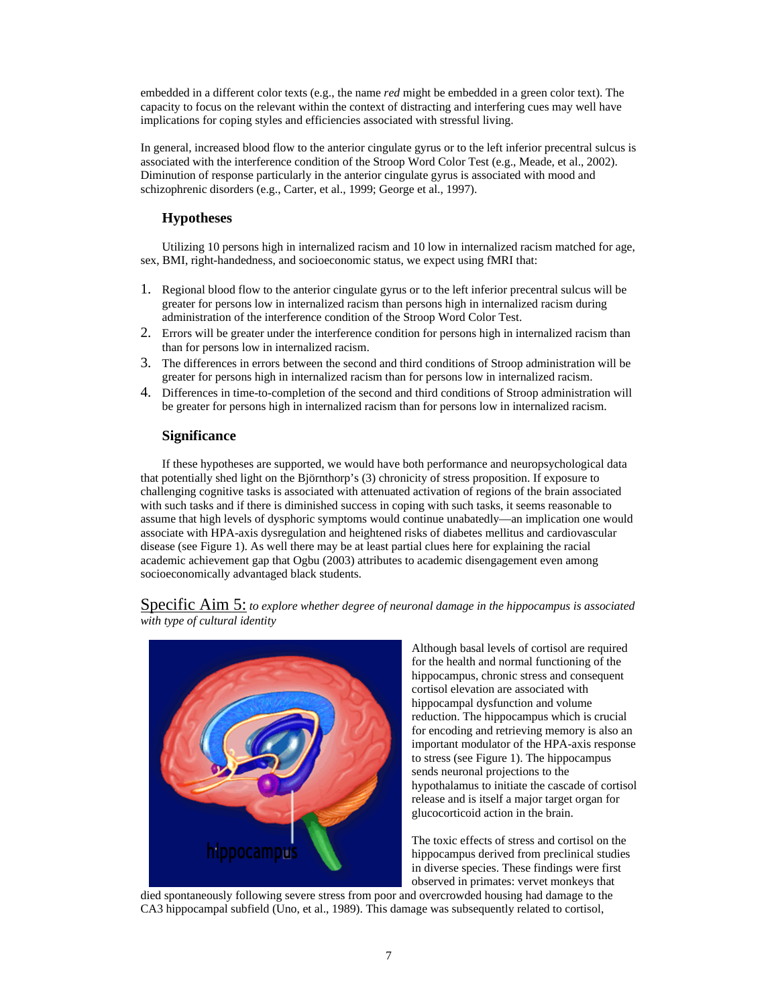embedded in a different color texts (e.g., the name *red* might be embedded in a green color text). The capacity to focus on the relevant within the context of distracting and interfering cues may well have implications for coping styles and efficiencies associated with stressful living.

In general, increased blood flow to the anterior cingulate gyrus or to the left inferior precentral sulcus is associated with the interference condition of the Stroop Word Color Test (e.g., Meade, et al., 2002). Diminution of response particularly in the anterior cingulate gyrus is associated with mood and schizophrenic disorders (e.g., Carter, et al., 1999; George et al., 1997).

#### **Hypotheses**

Utilizing 10 persons high in internalized racism and 10 low in internalized racism matched for age, sex, BMI, right-handedness, and socioeconomic status, we expect using fMRI that:

- 1. Regional blood flow to the anterior cingulate gyrus or to the left inferior precentral sulcus will be greater for persons low in internalized racism than persons high in internalized racism during administration of the interference condition of the Stroop Word Color Test.
- 2. Errors will be greater under the interference condition for persons high in internalized racism than than for persons low in internalized racism.
- 3. The differences in errors between the second and third conditions of Stroop administration will be greater for persons high in internalized racism than for persons low in internalized racism.
- 4. Differences in time-to-completion of the second and third conditions of Stroop administration will be greater for persons high in internalized racism than for persons low in internalized racism.

#### **Significance**

If these hypotheses are supported, we would have both performance and neuropsychological data that potentially shed light on the Björnthorp's (3) chronicity of stress proposition. If exposure to challenging cognitive tasks is associated with attenuated activation of regions of the brain associated with such tasks and if there is diminished success in coping with such tasks, it seems reasonable to assume that high levels of dysphoric symptoms would continue unabatedly—an implication one would associate with HPA-axis dysregulation and heightened risks of diabetes mellitus and cardiovascular disease (see Figure 1). As well there may be at least partial clues here for explaining the racial academic achievement gap that Ogbu (2003) attributes to academic disengagement even among socioeconomically advantaged black students.

Specific Aim 5: *to explore whether degree of neuronal damage in the hippocampus is associated with type of cultural identity*



Although basal levels of cortisol are required for the health and normal functioning of the hippocampus, chronic stress and consequent cortisol elevation are associated with hippocampal dysfunction and volume reduction. The hippocampus which is crucial for encoding and retrieving memory is also an important modulator of the HPA-axis response to stress (see Figure 1). The hippocampus sends neuronal projections to the hypothalamus to initiate the cascade of cortisol release and is itself a major target organ for glucocorticoid action in the brain.

The toxic effects of stress and cortisol on the hippocampus derived from preclinical studies in diverse species. These findings were first observed in primates: vervet monkeys that

died spontaneously following severe stress from poor and overcrowded housing had damage to the CA3 hippocampal subfield (Uno, et al., 1989). This damage was subsequently related to cortisol,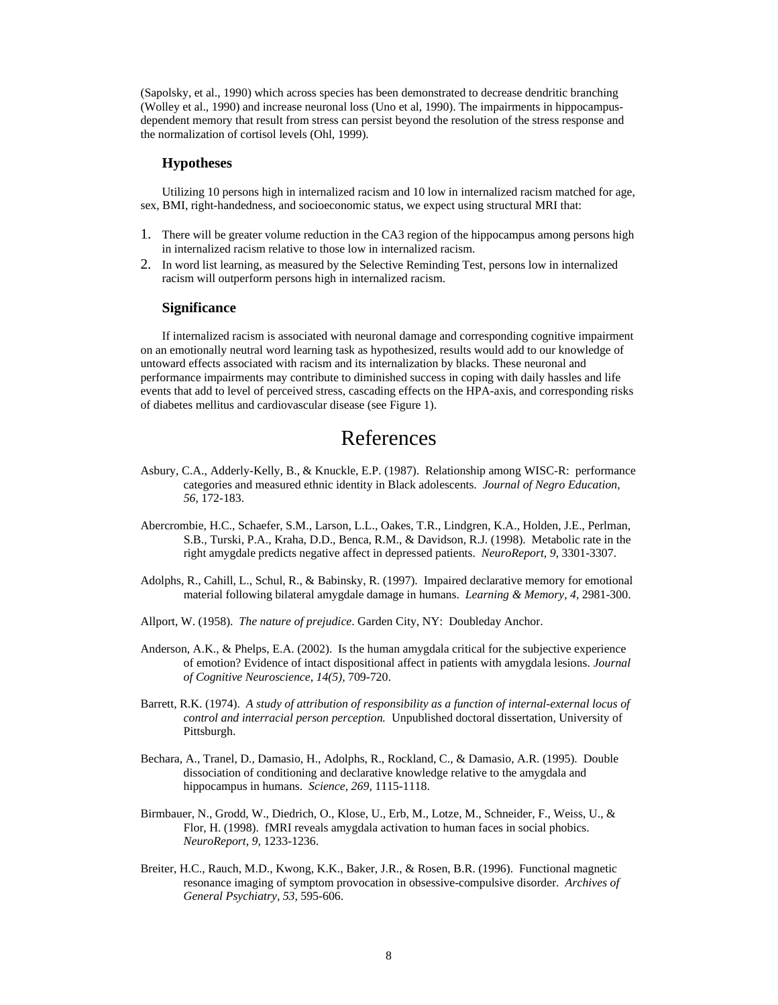(Sapolsky, et al., 1990) which across species has been demonstrated to decrease dendritic branching (Wolley et al., 1990) and increase neuronal loss (Uno et al, 1990). The impairments in hippocampusdependent memory that result from stress can persist beyond the resolution of the stress response and the normalization of cortisol levels (Ohl, 1999).

#### **Hypotheses**

Utilizing 10 persons high in internalized racism and 10 low in internalized racism matched for age, sex, BMI, right-handedness, and socioeconomic status, we expect using structural MRI that:

- 1. There will be greater volume reduction in the CA3 region of the hippocampus among persons high in internalized racism relative to those low in internalized racism.
- 2. In word list learning, as measured by the Selective Reminding Test, persons low in internalized racism will outperform persons high in internalized racism.

#### **Significance**

If internalized racism is associated with neuronal damage and corresponding cognitive impairment on an emotionally neutral word learning task as hypothesized, results would add to our knowledge of untoward effects associated with racism and its internalization by blacks. These neuronal and performance impairments may contribute to diminished success in coping with daily hassles and life events that add to level of perceived stress, cascading effects on the HPA-axis, and corresponding risks of diabetes mellitus and cardiovascular disease (see Figure 1).

# References

- Asbury, C.A., Adderly-Kelly, B., & Knuckle, E.P. (1987). Relationship among WISC-R: performance categories and measured ethnic identity in Black adolescents. *Journal of Negro Education, 56,* 172-183.
- Abercrombie, H.C., Schaefer, S.M., Larson, L.L., Oakes, T.R., Lindgren, K.A., Holden, J.E., Perlman, S.B., Turski, P.A., Kraha, D.D., Benca, R.M., & Davidson, R.J. (1998). Metabolic rate in the right amygdale predicts negative affect in depressed patients. *NeuroReport, 9,* 3301-3307.
- Adolphs, R., Cahill, L., Schul, R., & Babinsky, R. (1997). Impaired declarative memory for emotional material following bilateral amygdale damage in humans. *Learning & Memory, 4,* 2981-300.
- Allport, W. (1958). *The nature of prejudice*. Garden City, NY: Doubleday Anchor.
- Anderson, A.K., & Phelps, E.A. (2002). Is the human amygdala critical for the subjective experience of emotion? Evidence of intact dispositional affect in patients with amygdala lesions. *Journal of Cognitive Neuroscience, 14(5),* 709-720.
- Barrett, R.K. (1974). *A study of attribution of responsibility as a function of internal-external locus of control and interracial person perception.* Unpublished doctoral dissertation, University of Pittsburgh.
- Bechara, A., Tranel, D., Damasio, H., Adolphs, R., Rockland, C., & Damasio, A.R. (1995). Double dissociation of conditioning and declarative knowledge relative to the amygdala and hippocampus in humans. *Science, 269,* 1115-1118.
- Birmbauer, N., Grodd, W., Diedrich, O., Klose, U., Erb, M., Lotze, M., Schneider, F., Weiss, U., & Flor, H. (1998). fMRI reveals amygdala activation to human faces in social phobics. *NeuroReport, 9,* 1233-1236.
- Breiter, H.C., Rauch, M.D., Kwong, K.K., Baker, J.R., & Rosen, B.R. (1996). Functional magnetic resonance imaging of symptom provocation in obsessive-compulsive disorder. *Archives of General Psychiatry, 53,* 595-606.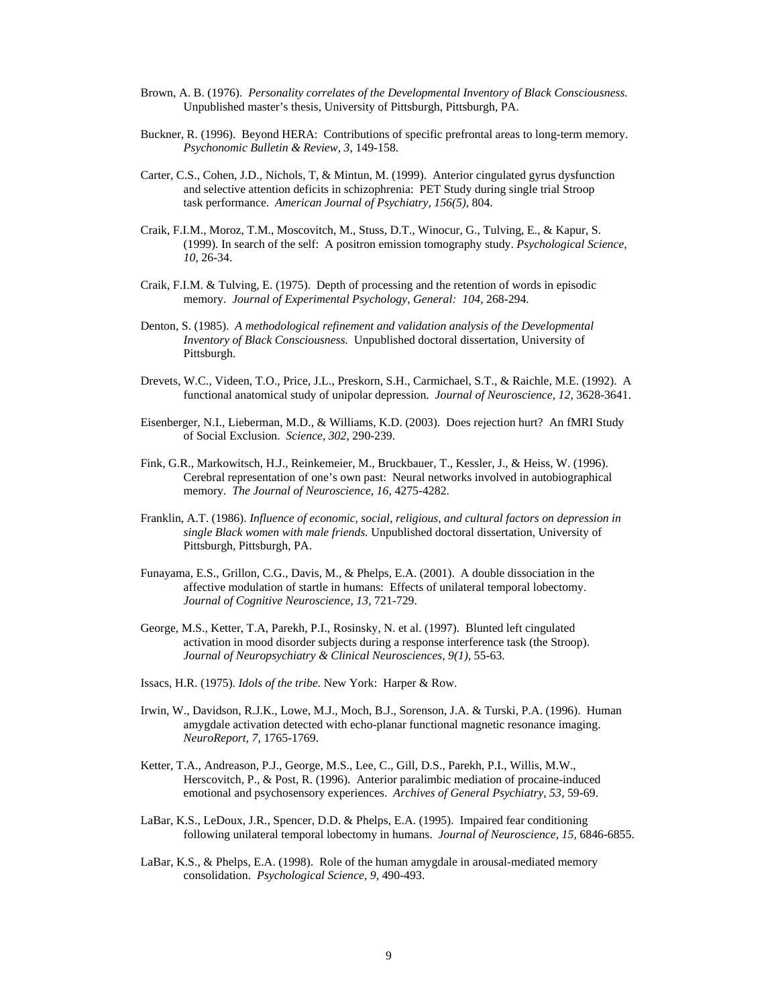- Brown, A. B. (1976). *Personality correlates of the Developmental Inventory of Black Consciousness.*  Unpublished master's thesis, University of Pittsburgh, Pittsburgh, PA.
- Buckner, R. (1996). Beyond HERA: Contributions of specific prefrontal areas to long-term memory. *Psychonomic Bulletin & Review, 3,* 149-158.
- Carter, C.S., Cohen, J.D., Nichols, T, & Mintun, M. (1999). Anterior cingulated gyrus dysfunction and selective attention deficits in schizophrenia: PET Study during single trial Stroop task performance. *American Journal of Psychiatry, 156(5),* 804.
- Craik, F.I.M., Moroz, T.M., Moscovitch, M., Stuss, D.T., Winocur, G., Tulving, E., & Kapur, S. (1999). In search of the self: A positron emission tomography study. *Psychological Science, 10,* 26-34.
- Craik, F.I.M. & Tulving, E. (1975). Depth of processing and the retention of words in episodic memory. *Journal of Experimental Psychology, General: 104,* 268-294.
- Denton, S. (1985). *A methodological refinement and validation analysis of the Developmental Inventory of Black Consciousness.* Unpublished doctoral dissertation, University of Pittsburgh.
- Drevets, W.C., Videen, T.O., Price, J.L., Preskorn, S.H., Carmichael, S.T., & Raichle, M.E. (1992). A functional anatomical study of unipolar depression. *Journal of Neuroscience, 12,* 3628-3641.
- Eisenberger, N.I., Lieberman, M.D., & Williams, K.D. (2003). Does rejection hurt? An fMRI Study of Social Exclusion. *Science, 302,* 290-239.
- Fink, G.R., Markowitsch, H.J., Reinkemeier, M., Bruckbauer, T., Kessler, J., & Heiss, W. (1996). Cerebral representation of one's own past: Neural networks involved in autobiographical memory. *The Journal of Neuroscience, 16,* 4275-4282.
- Franklin, A.T. (1986). *Influence of economic, social, religious, and cultural factors on depression in single Black women with male friends.* Unpublished doctoral dissertation, University of Pittsburgh, Pittsburgh, PA.
- Funayama, E.S., Grillon, C.G., Davis, M., & Phelps, E.A. (2001). A double dissociation in the affective modulation of startle in humans: Effects of unilateral temporal lobectomy. *Journal of Cognitive Neuroscience, 13,* 721-729.
- George, M.S., Ketter, T.A, Parekh, P.I., Rosinsky, N. et al. (1997). Blunted left cingulated activation in mood disorder subjects during a response interference task (the Stroop). *Journal of Neuropsychiatry & Clinical Neurosciences, 9(1),* 55-63.
- Issacs, H.R. (1975). *Idols of the tribe.* New York: Harper & Row.
- Irwin, W., Davidson, R.J.K., Lowe, M.J., Moch, B.J., Sorenson, J.A. & Turski, P.A. (1996). Human amygdale activation detected with echo-planar functional magnetic resonance imaging. *NeuroReport, 7,* 1765-1769.
- Ketter, T.A., Andreason, P.J., George, M.S., Lee, C., Gill, D.S., Parekh, P.I., Willis, M.W., Herscovitch, P., & Post, R. (1996). Anterior paralimbic mediation of procaine-induced emotional and psychosensory experiences. *Archives of General Psychiatry, 53*, 59-69.
- LaBar, K.S., LeDoux, J.R., Spencer, D.D. & Phelps, E.A. (1995). Impaired fear conditioning following unilateral temporal lobectomy in humans. *Journal of Neuroscience, 15,* 6846-6855.
- LaBar, K.S., & Phelps, E.A. (1998). Role of the human amygdale in arousal-mediated memory consolidation. *Psychological Science, 9,* 490-493.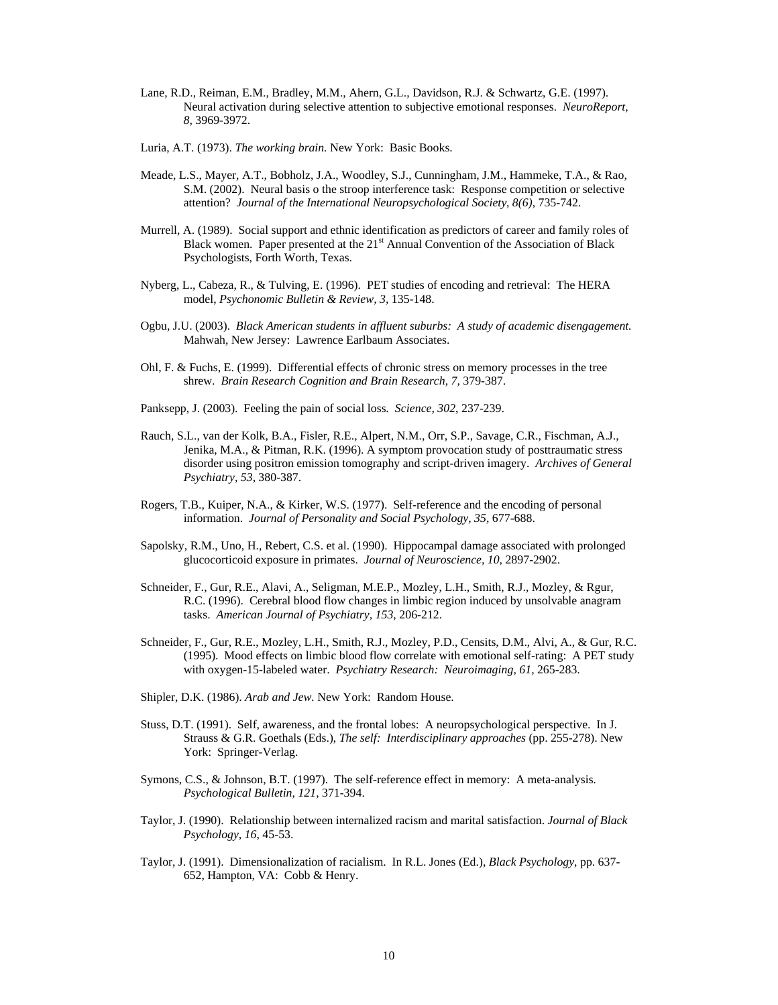- Lane, R.D., Reiman, E.M., Bradley, M.M., Ahern, G.L., Davidson, R.J. & Schwartz, G.E. (1997). Neural activation during selective attention to subjective emotional responses. *NeuroReport, 8,* 3969-3972.
- Luria, A.T. (1973). *The working brain.* New York: Basic Books.
- Meade, L.S., Mayer, A.T., Bobholz, J.A., Woodley, S.J., Cunningham, J.M., Hammeke, T.A., & Rao, S.M. (2002). Neural basis o the stroop interference task: Response competition or selective attention? *Journal of the International Neuropsychological Society*, *8(6),* 735-742.
- Murrell, A. (1989). Social support and ethnic identification as predictors of career and family roles of Black women. Paper presented at the 21<sup>st</sup> Annual Convention of the Association of Black Psychologists, Forth Worth, Texas.
- Nyberg, L., Cabeza, R., & Tulving, E. (1996). PET studies of encoding and retrieval: The HERA model, *Psychonomic Bulletin & Review, 3,* 135-148.
- Ogbu, J.U. (2003). *Black American students in affluent suburbs: A study of academic disengagement.* Mahwah, New Jersey: Lawrence Earlbaum Associates.
- Ohl, F. & Fuchs, E. (1999). Differential effects of chronic stress on memory processes in the tree shrew. *Brain Research Cognition and Brain Research, 7,* 379-387.
- Panksepp, J. (2003). Feeling the pain of social loss*. Science, 302*, 237-239.
- Rauch, S.L., van der Kolk, B.A., Fisler, R.E., Alpert, N.M., Orr, S.P., Savage, C.R., Fischman, A.J., Jenika, M.A., & Pitman, R.K. (1996). A symptom provocation study of posttraumatic stress disorder using positron emission tomography and script-driven imagery. *Archives of General Psychiatry, 53,* 380-387.
- Rogers, T.B., Kuiper, N.A., & Kirker, W.S. (1977). Self-reference and the encoding of personal information. *Journal of Personality and Social Psychology, 35,* 677-688.
- Sapolsky, R.M., Uno, H., Rebert, C.S. et al. (1990). Hippocampal damage associated with prolonged glucocorticoid exposure in primates. *Journal of Neuroscience, 10,* 2897-2902.
- Schneider, F., Gur, R.E., Alavi, A., Seligman, M.E.P., Mozley, L.H., Smith, R.J., Mozley, & Rgur, R.C. (1996). Cerebral blood flow changes in limbic region induced by unsolvable anagram tasks. *American Journal of Psychiatry, 153,* 206-212.
- Schneider, F., Gur, R.E., Mozley, L.H., Smith, R.J., Mozley, P.D., Censits, D.M., Alvi, A., & Gur, R.C. (1995). Mood effects on limbic blood flow correlate with emotional self-rating: A PET study with oxygen-15-labeled water. *Psychiatry Research: Neuroimaging, 61,* 265-283.
- Shipler, D.K. (1986). *Arab and Jew.* New York: Random House.
- Stuss, D.T. (1991). Self, awareness, and the frontal lobes: A neuropsychological perspective. In J. Strauss & G.R. Goethals (Eds.), *The self: Interdisciplinary approaches* (pp. 255-278). New York: Springer-Verlag.
- Symons, C.S., & Johnson, B.T. (1997). The self-reference effect in memory: A meta-analysis*. Psychological Bulletin, 121,* 371-394.
- Taylor, J. (1990). Relationship between internalized racism and marital satisfaction. *Journal of Black Psychology, 16*, 45-53.
- Taylor, J. (1991). Dimensionalization of racialism. In R.L. Jones (Ed.), *Black Psychology*, pp. 637- 652, Hampton, VA: Cobb & Henry.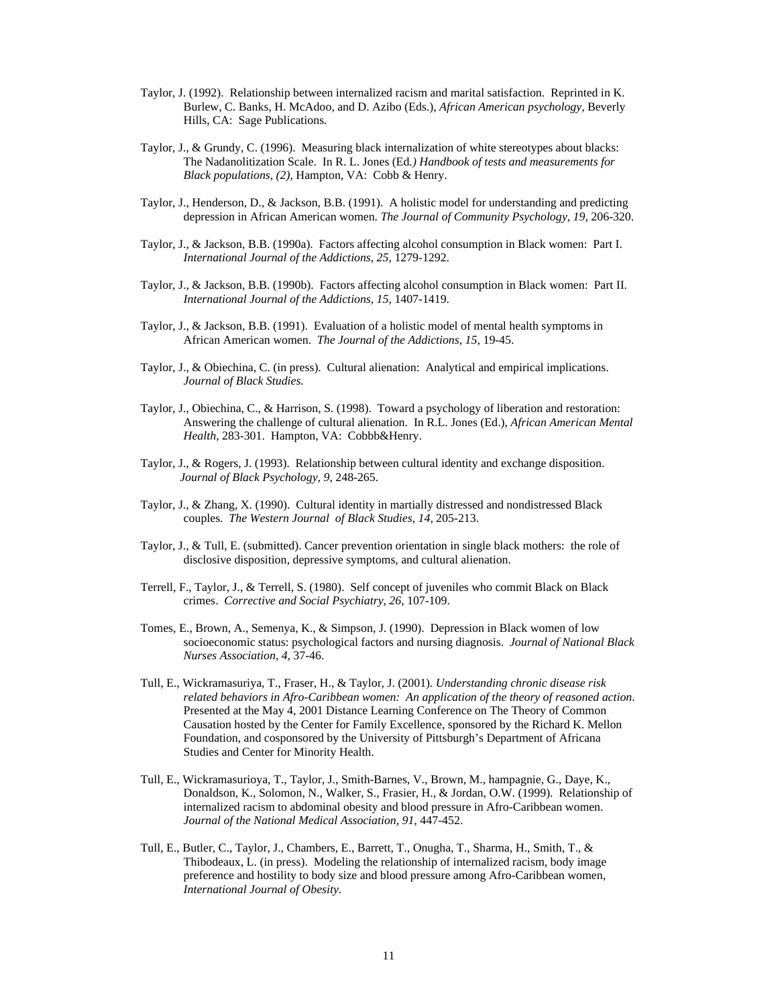- Taylor, J. (1992). Relationship between internalized racism and marital satisfaction. Reprinted in K. Burlew, C. Banks, H. McAdoo, and D. Azibo (Eds.), *African American psychology,* Beverly Hills, CA: Sage Publications.
- Taylor, J., & Grundy, C. (1996). Measuring black internalization of white stereotypes about blacks: The Nadanolitization Scale. In R. L. Jones (Ed*.) Handbook of tests and measurements for Black populations, (2),* Hampton, VA: Cobb & Henry.
- Taylor, J., Henderson, D., & Jackson, B.B. (1991). A holistic model for understanding and predicting depression in African American women. *The Journal of Community Psychology, 19,* 206-320.
- Taylor, J., & Jackson, B.B. (1990a). Factors affecting alcohol consumption in Black women: Part I. *International Journal of the Addictions, 25,* 1279-1292.
- Taylor, J., & Jackson, B.B. (1990b). Factors affecting alcohol consumption in Black women: Part II. *International Journal of the Addictions, 15,* 1407-1419.
- Taylor, J., & Jackson, B.B. (1991). Evaluation of a holistic model of mental health symptoms in African American women. *The Journal of the Addictions, 15,* 19-45.
- Taylor, J., & Obiechina, C. (in press). Cultural alienation: Analytical and empirical implications. *Journal of Black Studies.*
- Taylor, J., Obiechina, C., & Harrison, S. (1998). Toward a psychology of liberation and restoration: Answering the challenge of cultural alienation. In R.L. Jones (Ed.), *African American Mental*  Health, 283-301. Hampton, VA: Cobbb&Henry.
- Taylor, J., & Rogers, J. (1993). Relationship between cultural identity and exchange disposition. *Journal of Black Psychology, 9*, 248-265.
- Taylor, J., & Zhang, X. (1990). Cultural identity in martially distressed and nondistressed Black couples. *The Western Journal of Black Studies, 14,* 205-213.
- Taylor, J., & Tull, E. (submitted). Cancer prevention orientation in single black mothers: the role of disclosive disposition, depressive symptoms, and cultural alienation.
- Terrell, F., Taylor, J., & Terrell, S. (1980). Self concept of juveniles who commit Black on Black crimes. *Corrective and Social Psychiatry, 26*, 107-109.
- Tomes, E., Brown, A., Semenya, K., & Simpson, J. (1990). Depression in Black women of low socioeconomic status: psychological factors and nursing diagnosis. *Journal of National Black Nurses Association, 4,* 37-46.
- Tull, E., Wickramasuriya, T., Fraser, H., & Taylor, J. (2001). *Understanding chronic disease risk related behaviors in Afro-Caribbean women: An application of the theory of reasoned action*. Presented at the May 4, 2001 Distance Learning Conference on The Theory of Common Causation hosted by the Center for Family Excellence, sponsored by the Richard K. Mellon Foundation, and cosponsored by the University of Pittsburgh's Department of Africana Studies and Center for Minority Health.
- Tull, E., Wickramasurioya, T., Taylor, J., Smith-Barnes, V., Brown, M., hampagnie, G., Daye, K., Donaldson, K., Solomon, N., Walker, S., Frasier, H., & Jordan, O.W. (1999). Relationship of internalized racism to abdominal obesity and blood pressure in Afro-Caribbean women. *Journal of the National Medical Association, 91,* 447-452.
- Tull, E., Butler, C., Taylor, J., Chambers, E., Barrett, T., Onugha, T., Sharma, H., Smith, T., & Thibodeaux, L. (in press). Modeling the relationship of internalized racism, body image preference and hostility to body size and blood pressure among Afro-Caribbean women, *International Journal of Obesity.*